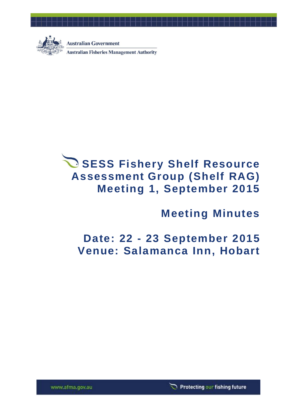

**Australian Government** 

**Australian Fisheries Management Authority** 

# **SESS Fishery Shelf Resource Assessment Group (Shelf RAG) Meeting 1, September 2015**

# **Meeting Minutes**

# **Date: 22 - 23 September 2015 Venue: Salamanca Inn, Hobart**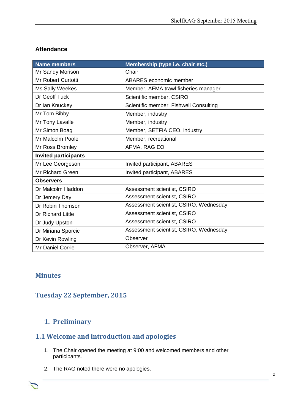## **Attendance**

| <b>Name members</b>         | Membership (type i.e. chair etc.)      |
|-----------------------------|----------------------------------------|
| Mr Sandy Morison            | Chair                                  |
| <b>Mr Robert Curtotti</b>   | ABARES economic member                 |
| Ms Sally Weekes             | Member, AFMA trawl fisheries manager   |
| Dr Geoff Tuck               | Scientific member, CSIRO               |
| Dr Ian Knuckey              | Scientific member, Fishwell Consulting |
| Mr Tom Bibby                | Member, industry                       |
| Mr Tony Lavalle             | Member, industry                       |
| Mr Simon Boag               | Member, SETFIA CEO, industry           |
| Mr Malcolm Poole            | Member, recreational                   |
| Mr Ross Bromley             | AFMA, RAG EO                           |
| <b>Invited participants</b> |                                        |
| Mr Lee Georgeson            | Invited participant, ABARES            |
| <b>Mr Richard Green</b>     | Invited participant, ABARES            |
| <b>Observers</b>            |                                        |
| Dr Malcolm Haddon           | Assessment scientist, CSIRO            |
| Dr Jemery Day               | Assessment scientist, CSIRO            |
| Dr Robin Thomson            | Assessment scientist, CSIRO, Wednesday |
| <b>Dr Richard Little</b>    | Assessment scientist, CSIRO            |
| Dr Judy Upston              | Assessment scientist, CSIRO            |
| Dr Miriana Sporcic          | Assessment scientist, CSIRO, Wednesday |
| Dr Kevin Rowling            | Observer                               |
| Mr Daniel Corrie            | Observer, AFMA                         |

## **Minutes**

# **Tuesday 22 September, 2015**

# **1. Preliminary**

# **1.1 Welcome and introduction and apologies**

1. The Chair opened the meeting at 9:00 and welcomed members and other participants.

Chair Rob Lewis c/- Executive Officer Tony Kingston, 155 Faulkland Rd, Gloucester NSW 2422

2. The RAG noted there were no apologies.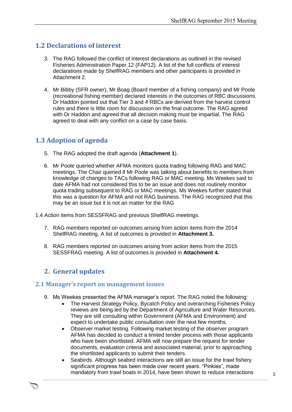## **1.2 Declarations of interest**

- 3. The RAG followed the conflict of interest declarations as outlined in the revised Fisheries Administration Paper 12 (FAP12). A list of the full conflicts of interest declarations made by ShelfRAG members and other participants is provided in Attachment 2.
- 4. Mr Bibby (SFR owner), Mr Boag (Board member of a fishing company) and Mr Poole (recreational fishing member) declared interests in the outcomes of RBC discussions. Dr Haddon pointed out that Tier 3 and 4 RBCs are derived from the harvest control rules and there is little room for discussion on the final outcome. The RAG agreed with Dr Haddon and agreed that all decision making must be impartial. The RAG agreed to deal with any conflict on a case by case basis.

# **1.3 Adoption of agenda**

- 5. The RAG adopted the draft agenda (**Attachment 1**).
- 6. Mr Poole queried whether AFMA monitors quota trading following RAG and MAC meetings. The Chair queried if Mr Poole was talking about benefits to members from knowledge of changes to TACs following RAG or MAC meeting. Ms Weekes said to date AFMA had not considered this to be an issue and does not routinely monitor quota trading subsequent to RAG or MAC meetings. Ms Weekes further stated that this was a question for AFMA and not RAG business. The RAG recognized that this may be an issue but it is not an matter for the RAG
- 1.4 Action items from SESSFRAG and previous ShelfRAG meetings.
	- 7. RAG members reported on outcomes arising from action items from the 2014 ShelfRAG meeting. A list of outcomes is provided in **Attachment 3.**
	- 8. RAG members reported on outcomes arising from action items from the 2015 SESSFRAG meeting. A list of outcomes is provided in **Attachment 4.**

## **2. General updates**

#### **2.1 Manager's report on management issues**

- 9. Ms Weekes presented the AFMA manager's report. The RAG noted the following:
	- The Harvest Strategy Policy, Bycatch Policy and overarching Fisheries Policy reviews are being led by the Department of Agriculture and Water Resources. They are still consulting within Government (AFMA and Environment) and expect to undertake public consultation over the next few months.
	- Observer market testing. Following market testing of the observer program AFMA has decided to conduct a limited tender process with those applicants who have been shortlisted. AFMA will now prepare the request for tender documents, evaluation criteria and associated material, prior to approaching the shortlisted applicants to submit their tenders.
	- Seabirds. Although seabird interactions are still an issue for the trawl fishery significant progress has been made over recent years. "Pinkies", made mandatory from trawl boats in 2014, have been shown to reduce interactions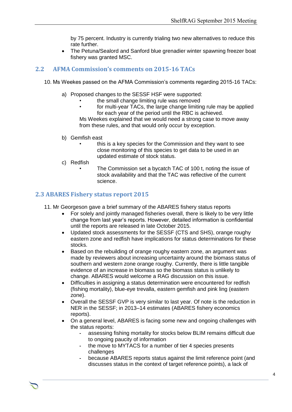by 75 percent. Industry is currently trialing two new alternatives to reduce this rate further.

 The Petuna/Sealord and Sanford blue grenadier winter spawning freezer boat fishery was granted MSC.

## **2.2 AFMA Commission's comments on 2015-16 TACs**

- 10. Ms Weekes passed on the AFMA Commission's comments regarding 2015-16 TACs:
	- a) Proposed changes to the SESSF HSF were supported:
		- the small change limiting rule was removed
		- for multi-year TACs, the large change limiting rule may be applied for each year of the period until the RBC is achieved.

Ms Weekes explained that we would need a strong case to move away from these rules, and that would only occur by exception.

- b) Gemfish east
	- this is a key species for the Commission and they want to see close monitoring of this species to get data to be used in an updated estimate of stock status.
- c) Redfish
	- The Commission set a bycatch TAC of 100 t, noting the issue of stock availability and that the TAC was reflective of the current science.

## **2.3 ABARES Fishery status report 2015**

- 11. Mr Georgeson gave a brief summary of the ABARES fishery status reports
	- For solely and jointly managed fisheries overall, there is likely to be very little change from last year's reports. However, detailed information is confidential until the reports are released in late October 2015.
	- Updated stock assessments for the SESSF (CTS and SHS), orange roughy eastern zone and redfish have implications for status determinations for these stocks.
	- Based on the rebuilding of orange roughy eastern zone, an argument was made by reviewers about increasing uncertainty around the biomass status of southern and western zone orange roughy. Currently, there is little tangible evidence of an increase in biomass so the biomass status is unlikely to change. ABARES would welcome a RAG discussion on this issue.
	- Difficulties in assigning a status determination were encountered for redfish (fishing mortality), blue-eye trevalla, eastern gemfish and pink ling (eastern zone).
	- Overall the SESSF GVP is very similar to last year. Of note is the reduction in NER in the SESSF; in 2013–14 estimates (ABARES fishery economics reports).
	- On a general level, ABARES is facing some new and ongoing challenges with the status reports:
		- **-** assessing fishing mortality for stocks below BLIM remains difficult due to ongoing paucity of information
		- **-** the move to MYTACS for a number of tier 4 species presents challenges

Chair Rob Lewis c/- Executive Officer Tony Kingston, 155 Faulkland Rd, Gloucester NSW 2422

**-** because ABARES reports status against the limit reference point (and discusses status in the context of target reference points), a lack of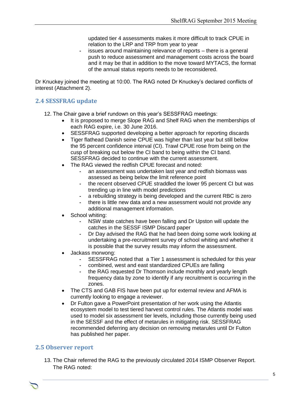updated tier 4 assessments makes it more difficult to track CPUE in relation to the LRP and TRP from year to year

**-** issues around maintaining relevance of reports – there is a general push to reduce assessment and management costs across the board and it may be that in addition to the move toward MYTACS, the format of the annual status reports needs to be reconsidered.

Dr Knuckey joined the meeting at 10:00. The RAG noted Dr Knuckey's declared conflicts of interest (Attachment 2).

### **2.4 SESSFRAG update**

- 12. The Chair gave a brief rundown on this year's SESSFRAG meetings:
	- It is proposed to merge Slope RAG and Shelf RAG when the memberships of each RAG expire, i.e. 30 June 2016.
	- SESSFRAG supported developing a better approach for reporting discards
	- Tiger flathead Danish seine CPUE was higher than last year but still below the 95 percent confidence interval (CI). Trawl CPUE rose from being on the cusp of breaking out below the CI band to being within the CI band. SESSFRAG decided to continue with the current assessment.
	- The RAG viewed the redfish CPUE forecast and noted:
		- **-** an assessment was undertaken last year and redfish biomass was assessed as being below the limit reference point
		- **-** the recent observed CPUE straddled the lower 95 percent CI but was trending up in line with model predictions
		- **-** a rebuilding strategy is being developed and the current RBC is zero
		- **-** there is little new data and a new assessment would not provide any
			- additional management information.
	- School whiting:
		- **-** NSW state catches have been falling and Dr Upston will update the catches in the SESSF ISMP Discard paper
		- **-** Dr Day advised the RAG that he had been doing some work looking at undertaking a pre-recruitment survey of school whiting and whether it is possible that the survey results may inform the assessment.
	- Jackass morwong:
		- **-** SESSFRAG noted that a Tier 1 assessment is scheduled for this year
		- **-** combined, west and east standardized CPUEs are falling
		- **-** the RAG requested Dr Thomson include monthly and yearly length frequency data by zone to identify if any recruitment is occurring in the zones.
	- The CTS and GAB FIS have been put up for external review and AFMA is currently looking to engage a reviewer.
	- Dr Fulton gave a PowerPoint presentation of her work using the Atlantis ecosystem model to test tiered harvest control rules. The Atlantis model was used to model six assessment tier levels, including those currently being used in the SESSF and the effect of metarules in mitigating risk. SESSFRAG recommended deferring any decision on removing metarules until Dr Fulton has published her paper.

#### **2.5 Observer report**

13. The Chair referred the RAG to the previously circulated 2014 ISMP Observer Report. The RAG noted: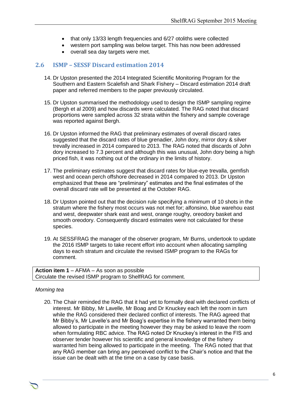- that only 13/33 length frequencies and 6/27 otoliths were collected
- western port sampling was below target. This has now been addressed
- overall sea day targets were met.

## **2.6 ISMP – SESSF Discard estimation 2014**

- 14. Dr Upston presented the 2014 Integrated Scientific Monitoring Program for the Southern and Eastern Scalefish and Shark Fishery – Discard estimation 2014 draft paper and referred members to the paper previously circulated.
- 15. Dr Upston summarised the methodology used to design the ISMP sampling regime (Bergh et al 2009) and how discards were calculated. The RAG noted that discard proportions were sampled across 32 strata within the fishery and sample coverage was reported against Bergh.
- 16. Dr Upston informed the RAG that preliminary estimates of overall discard rates suggested that the discard rates of blue grenadier, John dory, mirror dory & silver trevally increased in 2014 compared to 2013. The RAG noted that discards of John dory increased to 7.3 percent and although this was unusual, John dory being a high priced fish, it was nothing out of the ordinary in the limits of history.
- 17. The preliminary estimates suggest that discard rates for blue-eye trevalla, gemfish west and ocean perch offshore decreased in 2014 compared to 2013. Dr Upston emphasized that these are "preliminary" estimates and the final estimates of the overall discard rate will be presented at the October RAG.
- 18. Dr Upston pointed out that the decision rule specifying a minimum of 10 shots in the stratum where the fishery most occurs was not met for; alfonsino, blue warehou east and west, deepwater shark east and west, orange roughy, oreodory basket and smooth oreodory. Consequently discard estimates were not calculated for these species.
- 19. At SESSFRAG the manager of the observer program, Mr Burns, undertook to update the 2016 ISMP targets to take recent effort into account when allocating sampling days to each stratum and circulate the revised ISMP program to the RAGs for comment.

**Action item 1** – AFMA – As soon as possible Circulate the revised ISMP program to ShelfRAG for comment.

#### *Morning tea*

20. The Chair reminded the RAG that it had yet to formally deal with declared conflicts of interest. Mr Bibby, Mr Lavelle, Mr Boag and Dr Knuckey each left the room in turn while the RAG considered their declared conflict of interests. The RAG agreed that Mr Bibby's, Mr Lavelle's and Mr Boag's expertise in the fishery warranted them being allowed to participate in the meeting however they may be asked to leave the room when formulating RBC advice. The RAG noted Dr Knuckey's interest in the FIS and observer tender however his scientific and general knowledge of the fishery warranted him being allowed to participate in the meeting. The RAG noted that that any RAG member can bring any perceived conflict to the Chair's notice and that the issue can be dealt with at the time on a case by case basis.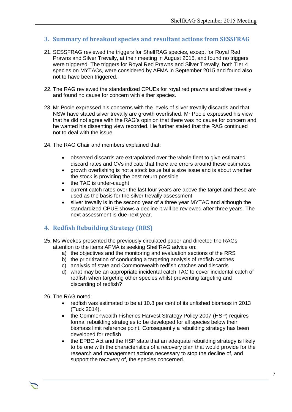## **3. Summary of breakout species and resultant actions from SESSFRAG**

- 21. SESSFRAG reviewed the triggers for ShelfRAG species, except for Royal Red Prawns and Silver Trevally, at their meeting in August 2015, and found no triggers were triggered. The triggers for Royal Red Prawns and Silver Trevally, both Tier 4 species on MYTACs, were considered by AFMA in September 2015 and found also not to have been triggered.
- 22. The RAG reviewed the standardized CPUEs for royal red prawns and silver trevally and found no cause for concern with either species.
- 23. Mr Poole expressed his concerns with the levels of silver trevally discards and that NSW have stated silver trevally are growth overfished. Mr Poole expressed his view that he did not agree with the RAG's opinion that there was no cause for concern and he wanted his dissenting view recorded. He further stated that the RAG continued not to deal with the issue.
- 24. The RAG Chair and members explained that:
	- observed discards are extrapolated over the whole fleet to give estimated discard rates and CVs indicate that there are errors around these estimates
	- growth overfishing is not a stock issue but a size issue and is about whether the stock is providing the best return possible
	- the TAC is under-caught
	- current catch rates over the last four years are above the target and these are used as the basis for the silver trevally assessment
	- silver trevally is in the second year of a three year MYTAC and although the standardized CPUE shows a decline it will be reviewed after three years. The next assessment is due next year.

## **4. Redfish Rebuilding Strategy (RRS)**

- 25. Ms Weekes presented the previously circulated paper and directed the RAGs attention to the items AFMA is seeking ShelfRAG advice on:
	- a) the objectives and the monitoring and evaluation sections of the RRS
	- b) the prioritization of conducting a targeting analysis of redfish catches
	- c) analysis of state and Commonwealth redfish catches and discards
	- d) what may be an appropriate incidental catch TAC to cover incidental catch of redfish when targeting other species whilst preventing targeting and discarding of redfish?
- 26. The RAG noted:
	- redfish was estimated to be at 10.8 per cent of its unfished biomass in 2013 (Tuck 2014).
	- the Commonwealth Fisheries Harvest Strategy Policy 2007 (HSP) requires formal rebuilding strategies to be developed for all species below their biomass limit reference point. Consequently a rebuilding strategy has been developed for redfish
	- the EPBC Act and the HSP state that an adequate rebuilding strategy is likely to be one with the characteristics of a recovery plan that would provide for the research and management actions necessary to stop the decline of, and support the recovery of, the species concerned.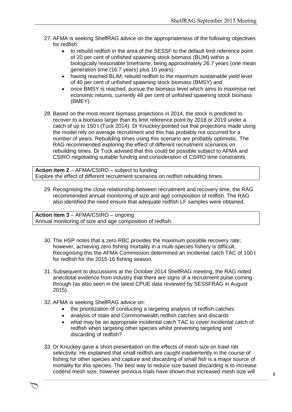- 27. AFMA is seeking ShelfRAG advice on the appropriateness of the following objectives for redfish:
	- to rebuild redfish in the area of the SESSF to the default limit reference point of 20 per cent of unfished spawning stock biomass (BLIM) within a biologically reasonable timeframe, being approximately 26.7 years (one mean generation time (16.7 years) plus 10 years)
	- having reached BLIM, rebuild redfish to the maximum sustainable yield level of 40 per cent of unfished spawning stock biomass (BMSY) and
	- once BMSY is reached, pursue the biomass level which aims to maximise net economic returns, currently 48 per cent of unfished spawning stock biomass (BMEY).
- 28. Based on the most recent biomass projections in 2014, the stock is predicted to recover to a biomass larger than its limit reference point by 2018 or 2019 under a catch of up to 150 t (Tuck 2014). Dr Knuckey pointed out that projections made using the model rely on average recruitment and this has probably not occurred for a number of years. Rebuilding times using this scenario are probably optimistic. The RAG recommended exploring the effect of different recruitment scenarios on rebuilding times. Dr Tuck advised that this could be possible subject to AFMA and CSIRO negotiating suitable funding and consideration of CSIRO time constraints.

**Action item 2** – AFMA/CSIRO – subject to funding Explore the effect of different recruitment scenarios on redfish rebuilding times.

29. Recognising the close relationship between recruitment and recovery time, the RAG recommended annual monitoring of size and age composition of redfish. The RAG also identified the need ensure that adequate redfish LF samples were obtained.

**Action item 3** – AFMA/CSIRO – ongoing Annual monitoring of size and age composition of redfish.

- 30. The HSP notes that a zero RBC provides the maximum possible recovery rate; however, achieving zero fishing mortality in a multi-species fishery is difficult. Recognising this the AFMA Commission determined an incidental catch TAC of 100 t for redfish for the 2015-16 fishing season.
- 31. Subsequent to discussions at the October 2014 ShelfRAG meeting, the RAG noted anecdotal evidence from industry that there are signs of a recruitment pulse coming through (as also seen in the latest CPUE data reviewed by SESSFRAG in August 2015).
- 32. AFMA is seeking ShelfRAG advice on:
	- the prioritization of conducting a targeting analysis of redfish catches
	- analysis of state and Commonwealth redfish catches and discards
	- what may be an appropriate incidental catch TAC to cover incidental catch of redfish when targeting other species whilst preventing targeting and discarding of redfish?
- 33. Dr Knuckey gave a short presentation on the effects of mesh size on trawl net selectivity. He explained that small redfish are caught inadvertently in the course of fishing for other species and capture and discarding of small fish is a major source of mortality for this species. The best way to reduce size based discarding is to increase codend mesh size; however previous trials have shown that increased mesh size will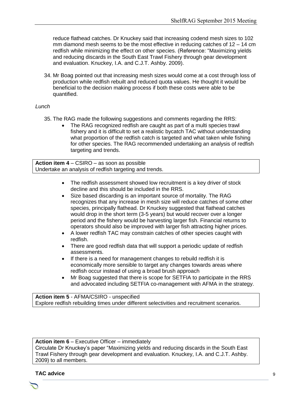reduce flathead catches. Dr Knuckey said that increasing codend mesh sizes to 102 mm diamond mesh seems to be the most effective in reducing catches of 12 – 14 cm redfish while minimizing the effect on other species. (Reference: "Maximizing yields and reducing discards in the South East Trawl Fishery through gear development and evaluation. Knuckey, I.A. and C.J.T. Ashby. 2009).

34. Mr Boag pointed out that increasing mesh sizes would come at a cost through loss of production while redfish rebuilt and reduced quota values. He thought it would be beneficial to the decision making process if both these costs were able to be quantified.

#### *Lunch*

- 35. The RAG made the following suggestions and comments regarding the RRS:
	- The RAG recognized redfish are caught as part of a multi species trawl fishery and it is difficult to set a realistic bycatch TAC without understanding what proportion of the redfish catch is targeted and what taken while fishing for other species. The RAG recommended undertaking an analysis of redfish targeting and trends.

**Action item 4** – CSIRO – as soon as possible Undertake an analysis of redfish targeting and trends.

- The redfish assessment showed low recruitment is a key driver of stock decline and this should be included in the RRS.
- Size based discarding is an important source of mortality. The RAG recognizes that any increase in mesh size will reduce catches of some other species, principally flathead. Dr Knuckey suggested that flathead catches would drop in the short term (3-5 years) but would recover over a longer period and the fishery would be harvesting larger fish. Financial returns to operators should also be improved with larger fish attracting higher prices.
- A lower redfish TAC may constrain catches of other species caught with redfish.
- There are good redfish data that will support a periodic update of redfish assessments.
- If there is a need for management changes to rebuild redfish it is economically more sensible to target any changes towards areas where redfish occur instead of using a broad brush approach
- Mr Boag suggested that there is scope for SETFIA to participate in the RRS and advocated including SETFIA co-management with AFMA in the strategy.

**Action item 5** - AFMA/CSIRO - unspecified Explore redfish rebuilding times under different selectivities and recruitment scenarios.

#### **Action item 6** – Executive Officer – immediately

Circulate Dr Knuckey's paper "Maximizing yields and reducing discards in the South East Trawl Fishery through gear development and evaluation. Knuckey, I.A. and C.J.T. Ashby. 2009) to all members.

Chair Rob Lewis c/- Executive Officer Tony Kingston, 155 Faulkland Rd, Gloucester NSW 2422

#### **TAC advice**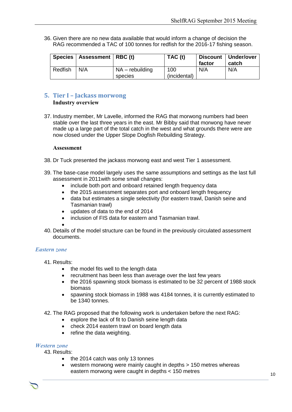36. Given there are no new data available that would inform a change of decision the RAG recommended a TAC of 100 tonnes for redfish for the 2016-17 fishing season.

|         | Species   Assessment   RBC (t) |                              | TAC (t)             | factor | Discount   Under/over<br>catch |
|---------|--------------------------------|------------------------------|---------------------|--------|--------------------------------|
| Redfish | N/A                            | $NA$ – rebuilding<br>species | 100<br>(incidental) | N/A    | N/A                            |

## **5. Tier I – Jackass morwong**

#### **Industry overview**

37. Industry member, Mr Lavelle, informed the RAG that morwong numbers had been stable over the last three years in the east. Mr Bibby said that morwong have never made up a large part of the total catch in the west and what grounds there were are now closed under the Upper Slope Dogfish Rebuilding Strategy.

#### **Assessment**

- 38. Dr Tuck presented the jackass morwong east and west Tier 1 assessment.
- 39. The base-case model largely uses the same assumptions and settings as the last full assessment in 2011with some small changes:
	- include both port and onboard retained length frequency data
	- the 2015 assessment separates port and onboard length frequency
	- data but estimates a single selectivity (for eastern trawl, Danish seine and Tasmanian trawl)
	- updates of data to the end of 2014
	- inclusion of FIS data for eastern and Tasmanian trawl.
	- $\bullet$
- 40. Details of the model structure can be found in the previously circulated assessment documents.

#### *Eastern zone*

- 41. Results:
	- the model fits well to the length data
	- recruitment has been less than average over the last few years
	- the 2016 spawning stock biomass is estimated to be 32 percent of 1988 stock biomass
	- spawning stock biomass in 1988 was 4184 tonnes, it is currently estimated to be 1340 tonnes.

#### 42. The RAG proposed that the following work is undertaken before the next RAG:

- explore the lack of fit to Danish seine length data
- check 2014 eastern trawl on board length data
- refine the data weighting.

#### *Western zone*

43. Results:

- the 2014 catch was only 13 tonnes
- western morwong were mainly caught in depths > 150 metres whereas eastern morwong were caught in depths < 150 metres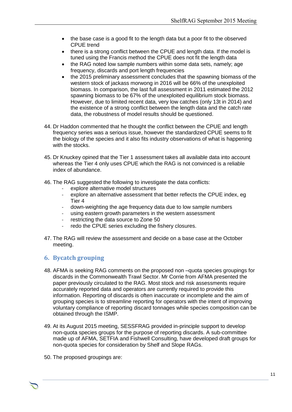- the base case is a good fit to the length data but a poor fit to the observed CPUE trend
- there is a strong conflict between the CPUE and length data. If the model is tuned using the Francis method the CPUE does not fit the length data
- the RAG noted low sample numbers within some data sets, namely; age frequency, discards and port length frequencies
- the 2015 preliminary assessment concludes that the spawning biomass of the western stock of jackass morwong in 2016 will be 66% of the unexploited biomass. In comparison, the last full assessment in 2011 estimated the 2012 spawning biomass to be 67% of the unexploited equilibrium stock biomass. However, due to limited recent data, very low catches (only 13t in 2014) and the existence of a strong conflict between the length data and the catch rate data, the robustness of model results should be questioned.
- 44. Dr Haddon commented that he thought the conflict between the CPUE and length frequency series was a serious issue, however the standardized CPUE seems to fit the biology of the species and it also fits industry observations of what is happening with the stocks.
- 45. Dr Knuckey opined that the Tier 1 assessment takes all available data into account whereas the Tier 4 only uses CPUE which the RAG is not convinced is a reliable index of abundance.
- 46. The RAG suggested the following to investigate the data conflicts:
	- explore alternative model structures
	- explore an alternative assessment that better reflects the CPUE index, eq. Tier 4
	- down-weighting the age frequency data due to low sample numbers
	- using eastern growth parameters in the western assessment
	- restricting the data source to Zone 50
	- redo the CPUE series excluding the fishery closures.
- 47. The RAG will review the assessment and decide on a base case at the October meeting.

## **6. Bycatch grouping**

- 48. AFMA is seeking RAG comments on the proposed non –quota species groupings for discards in the Commonwealth Trawl Sector. Mr Corrie from AFMA presented the paper previously circulated to the RAG. Most stock and risk assessments require accurately reported data and operators are currently required to provide this information. Reporting of discards is often inaccurate or incomplete and the aim of grouping species is to streamline reporting for operators with the intent of improving voluntary compliance of reporting discard tonnages while species composition can be obtained through the ISMP.
- 49. At its August 2015 meeting, SESSFRAG provided in-principle support to develop non-quota species groups for the purpose of reporting discards. A sub-committee made up of AFMA, SETFIA and Fishwell Consulting, have developed draft groups for non-quota species for consideration by Shelf and Slope RAGs.

Chair Rob Lewis c/- Executive Officer Tony Kingston, 155 Faulkland Rd, Gloucester NSW 2422

50. The proposed groupings are: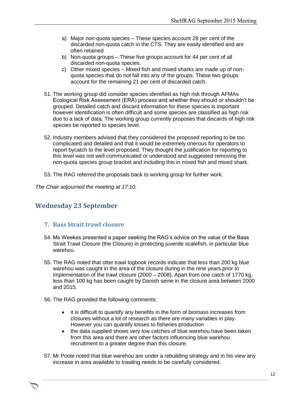- a) Major non-quota species These species account 28 per cent of the discarded non-quota catch in the CTS. They are easily identified and are often retained
- b) Non-quota groups These five groups account for 44 per cent of all discarded non-quota species.
- c) Other mixed species Mixed fish and mixed sharks are made up of nonquota species that do not fall into any of the groups. These two groups account for the remaining 21 per cent of discarded catch.
- 51. The working group did consider species identified as high risk through AFMAs Ecological Risk Assessment (ERA) process and whether they should or shouldn't be grouped. Detailed catch and discard information for these species is important however identification is often difficult and some species are classified as high risk due to a lack of data. The working group currently proposes that discards of high risk species be reported to species level.
- 52. Industry members advised that they considered the proposed reporting to be too complicated and detailed and that it would be extremely onerous for operators to report bycatch to the level proposed. They thought the justification for reporting to this level was not well communicated or understood and suggested removing the non-quota species group bracket and including this in mixed fish and mixed shark.
- 53. The RAG referred the proposals back to working group for further work.

*The Chair adjourned the meeting at 17:10.*

# **Wednesday 23 September**

#### **7. Bass Strait trawl closure**

- 54. Ms Weekes presented a paper seeking the RAG's advice on the value of the Bass Strait Trawl Closure (the Closure) in protecting juvenile scalefish, in particular blue warehou.
- 55. The RAG noted that otter trawl logbook records indicate that less than 200 kg blue warehou was caught in the area of the closure during in the nine years prior to implementation of the trawl closure (2000 – 2008). Apart from one catch of 1770 kg, less than 100 kg has been caught by Danish seine in the closure area between 2000 and 2015.
- 56. The RAG provided the following comments:
	- it is difficult to quantify any benefits in the form of biomass increases from closures without a lot of research as there are many variables in play. However you can quantify losses to fisheries production
	- the data supplied shows very low catches of blue warehou have been taken from this area and there are other factors influencing blue warehou recruitment to a greater degree than this closure.
- 57. Mr Poole noted that blue warehou are under a rebuilding strategy and in his view any increase in area available to trawling needs to be carefully considered.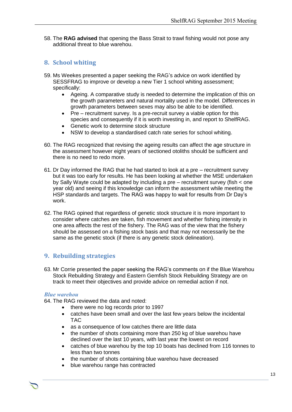58. The **RAG advised** that opening the Bass Strait to trawl fishing would not pose any additional threat to blue warehou.

## **8. School whiting**

- 59. Ms Weekes presented a paper seeking the RAG's advice on work identified by SESSFRAG to improve or develop a new Tier 1 school whiting assessment; specifically:
	- Ageing. A comparative study is needed to determine the implication of this on the growth parameters and natural mortality used in the model. Differences in growth parameters between sexes may also be able to be identified.
	- Pre recruitment survey. Is a pre-recruit survey a viable option for this species and consequently if it is worth investing in, and report to ShelfRAG.
	- Genetic work to determine stock structure
	- NSW to develop a standardised catch rate series for school whiting.
- 60. The RAG recognized that revising the ageing results can affect the age structure in the assessment however eight years of sectioned otoliths should be sufficient and there is no need to redo more.
- 61. Dr Day informed the RAG that he had started to look at a pre recruitment survey but it was too early for results. He has been looking at whether the MSE undertaken by Sally Wayte could be adapted by including a pre – recruitment survey (fish < one year old) and seeing if this knowledge can inform the assessment while meeting the HSP standards and targets. The RAG was happy to wait for results from Dr Day's work.
- 62. The RAG opined that regardless of genetic stock structure it is more important to consider where catches are taken, fish movement and whether fishing intensity in one area affects the rest of the fishery. The RAG was of the view that the fishery should be assessed on a fishing stock basis and that may not necessarily be the same as the genetic stock (if there is any genetic stock delineation).

## **9. Rebuilding strategies**

63. Mr Corrie presented the paper seeking the RAG's comments on if the Blue Warehou Stock Rebuilding Strategy and Eastern Gemfish Stock Rebuilding Strategy are on track to meet their objectives and provide advice on remedial action if not.

#### *Blue warehou*

64. The RAG reviewed the data and noted:

- there were no log records prior to 1997
- catches have been small and over the last few years below the incidental TAC
- as a consequence of low catches there are little data
- the number of shots containing more than 250 kg of blue warehou have declined over the last 10 years, with last year the lowest on record
- catches of blue warehou by the top 10 boats has declined from 116 tonnes to less than two tonnes
- the number of shots containing blue warehou have decreased

Chair Rob Lewis c/- Executive Officer Tony Kingston, 155 Faulkland Rd, Gloucester NSW 2422

blue warehou range has contracted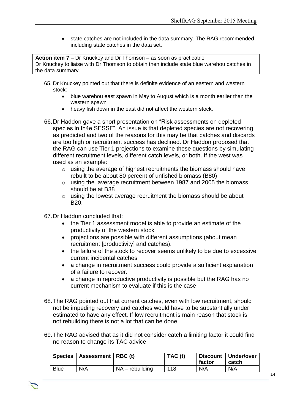• state catches are not included in the data summary. The RAG recommended including state catches in the data set.

**Action item 7** – Dr Knuckey and Dr Thomson – as soon as practicable Dr Knuckey to liaise with Dr Thomson to obtain then include state blue warehou catches in the data summary.

- 65. Dr Knuckey pointed out that there is definite evidence of an eastern and western stock:
	- blue warehou east spawn in May to August which is a month earlier than the western spawn
	- heavy fish down in the east did not affect the western stock.
- 66.Dr Haddon gave a short presentation on "Risk assessments on depleted species in th4e SESSF". An issue is that depleted species are not recovering as predicted and two of the reasons for this may be that catches and discards are too high or recruitment success has declined. Dr Haddon proposed that the RAG can use Tier 1 projections to examine these questions by simulating different recruitment levels, different catch levels, or both. If the west was used as an example:
	- o using the average of highest recruitments the biomass should have rebuilt to be about 80 percent of unfished biomass (B80)
	- o using the average recruitment between 1987 and 2005 the biomass should be at B38
	- o using the lowest average recruitment the biomass should be about B20.
- 67.Dr Haddon concluded that:
	- the Tier 1 assessment model is able to provide an estimate of the productivity of the western stock
	- projections are possible with different assumptions (about mean recruitment [productivity] and catches).
	- the failure of the stock to recover seems unlikely to be due to excessive current incidental catches
	- a change in recruitment success could provide a sufficient explanation of a failure to recover.
	- a change in reproductive productivity is possible but the RAG has no current mechanism to evaluate if this is the case
- 68.The RAG pointed out that current catches, even with low recruitment, should not be impeding recovery and catches would have to be substantially under estimated to have any effect. If low recruitment is main reason that stock is not rebuilding there is not a lot that can be done.
- 69.The RAG advised that as it did not consider catch a limiting factor it could find no reason to change its TAC advice

|             | Species   Assessment   RBC (t) |                   | TAC (t) | factor | Discount   Under/over<br>catch |
|-------------|--------------------------------|-------------------|---------|--------|--------------------------------|
| <b>Blue</b> | N/A                            | $NA$ – rebuilding | 118     | N/A    | N/A                            |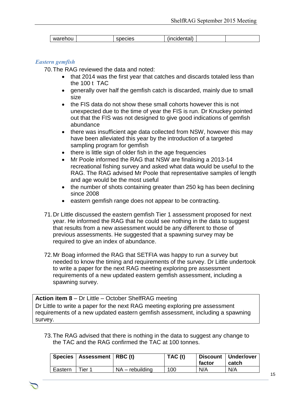| warehou | $\sim$ $\sim$<br>- -<br>-<br>بن د<br>.<br>טוסט | $\sim$ $\sim$ $\sim$<br>∩ntol<br>uar:<br>∵ اان.<br>. <del>.</del> |  |
|---------|------------------------------------------------|-------------------------------------------------------------------|--|

#### *Eastern gemfish*

70.The RAG reviewed the data and noted:

- that 2014 was the first year that catches and discards totaled less than the 100 t TAC
- generally over half the gemfish catch is discarded, mainly due to small size
- the FIS data do not show these small cohorts however this is not unexpected due to the time of year the FIS is run. Dr Knuckey pointed out that the FIS was not designed to give good indications of gemfish abundance
- there was insufficient age data collected from NSW, however this may have been alleviated this year by the introduction of a targeted sampling program for gemfish
- there is little sign of older fish in the age frequencies
- Mr Poole informed the RAG that NSW are finalising a 2013-14 recreational fishing survey and asked what data would be useful to the RAG. The RAG advised Mr Poole that representative samples of length and age would be the most useful
- the number of shots containing greater than 250 kg has been declining since 2008
- eastern gemfish range does not appear to be contracting.
- 71.Dr Little discussed the eastern gemfish Tier 1 assessment proposed for next year. He informed the RAG that he could see nothing in the data to suggest that results from a new assessment would be any different to those of previous assessments. He suggested that a spawning survey may be required to give an index of abundance.
- 72.Mr Boag informed the RAG that SETFIA was happy to run a survey but needed to know the timing and requirements of the survey. Dr Little undertook to write a paper for the next RAG meeting exploring pre assessment requirements of a new updated eastern gemfish assessment, including a spawning survey.

**Action item 8** – Dr Little – October ShelfRAG meeting Dr Little to write a paper for the next RAG meeting exploring pre assessment requirements of a new updated eastern gemfish assessment, including a spawning survey.

73.The RAG advised that there is nothing in the data to suggest any change to the TAC and the RAG confirmed the TAC at 100 tonnes.

|         | Species   Assessment   RBC (t) |                   | TAC (t) | factor | Discount   Under/over<br>catch |
|---------|--------------------------------|-------------------|---------|--------|--------------------------------|
| Eastern | $T$ ier 1                      | $NA$ – rebuilding | 100     | N/A    | N/A                            |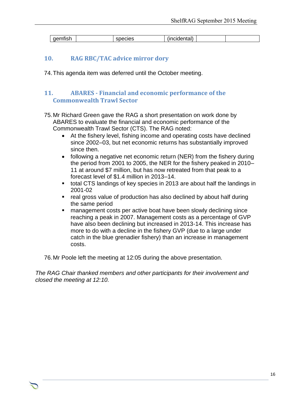| $-$<br>-------<br>″≙ו<br>III. | $\sim$ $\sim$<br>-168<br>w | - 11<br>ווסוו |  |
|-------------------------------|----------------------------|---------------|--|

### **10. RAG RBC/TAC advice mirror dory**

74.This agenda item was deferred until the October meeting.

## **11. ABARES - Financial and economic performance of the Commonwealth Trawl Sector**

- 75.Mr Richard Green gave the RAG a short presentation on work done by ABARES to evaluate the financial and economic performance of the Commonwealth Trawl Sector (CTS). The RAG noted:
	- At the fishery level, fishing income and operating costs have declined since 2002–03, but net economic returns has substantially improved since then.
	- following a negative net economic return (NER) from the fishery during the period from 2001 to 2005, the NER for the fishery peaked in 2010– 11 at around \$7 million, but has now retreated from that peak to a forecast level of \$1.4 million in 2013–14.
	- total CTS landings of key species in 2013 are about half the landings in 2001-02
	- real gross value of production has also declined by about half during the same period
	- management costs per active boat have been slowly declining since reaching a peak in 2007. Management costs as a percentage of GVP have also been declining but increased in 2013-14. This increase has more to do with a decline in the fishery GVP (due to a large under catch in the blue grenadier fishery) than an increase in management costs.

76.Mr Poole left the meeting at 12:05 during the above presentation.

*The RAG Chair thanked members and other participants for their involvement and closed the meeting at 12:10.*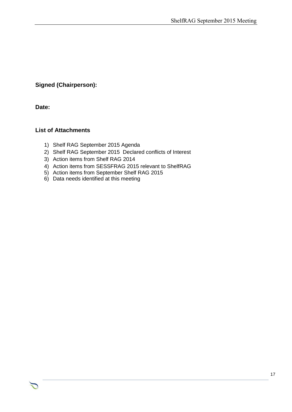## **Signed (Chairperson):**

**Date:**

## **List of Attachments**

- 1) Shelf RAG September 2015 Agenda
- 2) Shelf RAG September 2015 Declared conflicts of Interest
- 3) Action items from Shelf RAG 2014
- 4) Action items from SESSFRAG 2015 relevant to ShelfRAG

- 5) Action items from September Shelf RAG 2015
- 6) Data needs identified at this meeting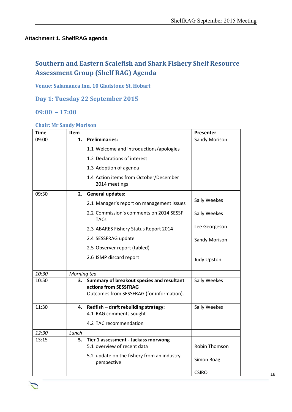#### **Attachment 1. ShelfRAG agenda**

# **Southern and Eastern Scalefish and Shark Fishery Shelf Resource Assessment Group (Shelf RAG) Agenda**

**Venue: Salamanca Inn, 10 Gladstone St. Hobart**

**Day 1: Tuesday 22 September 2015**

## **09:00 – 17:00**

#### **Chair: Mr Sandy Morison**

| <b>Time</b> | <b>Item</b> |                                                                                                                 | Presenter          |
|-------------|-------------|-----------------------------------------------------------------------------------------------------------------|--------------------|
| 09:00       |             | 1. Preliminaries:                                                                                               | Sandy Morison      |
|             |             | 1.1 Welcome and introductions/apologies                                                                         |                    |
|             |             | 1.2 Declarations of interest                                                                                    |                    |
|             |             | 1.3 Adoption of agenda                                                                                          |                    |
|             |             | 1.4 Action items from October/December<br>2014 meetings                                                         |                    |
| 09:30       |             | 2. General updates:                                                                                             |                    |
|             |             | 2.1 Manager's report on management issues                                                                       | Sally Weekes       |
|             |             | 2.2 Commission's comments on 2014 SESSF<br><b>TACs</b>                                                          | Sally Weekes       |
|             |             | 2.3 ABARES Fishery Status Report 2014                                                                           | Lee Georgeson      |
|             |             | 2.4 SESSFRAG update                                                                                             | Sandy Morison      |
|             |             | 2.5 Observer report (tabled)                                                                                    |                    |
|             |             | 2.6 ISMP discard report                                                                                         | <b>Judy Upston</b> |
| 10:30       | Morning tea |                                                                                                                 |                    |
| 10:50       | 3.          | Summary of breakout species and resultant<br>actions from SESSFRAG<br>Outcomes from SESSFRAG (for information). | Sally Weekes       |
| 11:30       |             | 4. Redfish - draft rebuilding strategy:                                                                         | Sally Weekes       |
|             |             | 4.1 RAG comments sought                                                                                         |                    |
|             |             | 4.2 TAC recommendation                                                                                          |                    |
| 12:30       | Lunch       |                                                                                                                 |                    |
| 13:15       | 5.          | Tier 1 assessment - Jackass morwong<br>5.1 overview of recent data                                              | Robin Thomson      |
|             |             | 5.2 update on the fishery from an industry<br>perspective                                                       | Simon Boag         |
|             |             |                                                                                                                 | <b>CSIRO</b>       |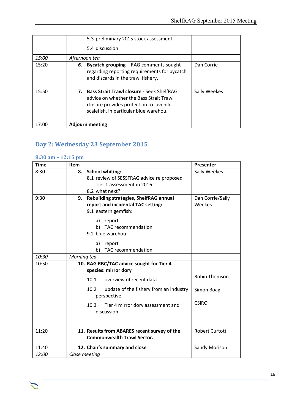|       | 5.3 preliminary 2015 stock assessment<br>5.4 discussion                                                                                                                      |              |
|-------|------------------------------------------------------------------------------------------------------------------------------------------------------------------------------|--------------|
| 15:00 | Afternoon tea                                                                                                                                                                |              |
| 15:20 | <b>Bycatch grouping – RAG comments sought</b><br>6.<br>regarding reporting requirements for bycatch<br>and discards in the trawl fishery.                                    | Dan Corrie   |
| 15:50 | 7. Bass Strait Trawl closure - Seek ShelfRAG<br>advice on whether the Bass Strait Trawl<br>closure provides protection to juvenile<br>scalefish, in particular blue warehou. | Sally Weekes |
| 17:00 | <b>Adjourn meeting</b>                                                                                                                                                       |              |

# **Day 2: Wednesday 23 September 2015**

#### **8:30 am – 12:15 pm**

| <b>Time</b> | Item                                                          | Presenter            |
|-------------|---------------------------------------------------------------|----------------------|
| 8:30        | <b>School whiting:</b><br>8.                                  | Sally Weekes         |
|             | 8.1 review of SESSFRAG advice re proposed                     |                      |
|             | Tier 1 assessment in 2016                                     |                      |
|             | 8.2 what next?                                                |                      |
| 9:30        | Rebuilding strategies, ShelfRAG annual<br>9.                  | Dan Corrie/Sally     |
|             | report and incidental TAC setting:                            | Weekes               |
|             | 9.1 eastern gemfish:                                          |                      |
|             | a) report                                                     |                      |
|             | b) TAC recommendation                                         |                      |
|             | 9.2 blue warehou                                              |                      |
|             | report<br>a)                                                  |                      |
|             | b)<br>TAC recommendation                                      |                      |
| 10:30       | Morning tea                                                   |                      |
| 10:50       | 10. RAG RBC/TAC advice sought for Tier 4                      |                      |
|             | species: mirror dory                                          |                      |
|             | 10.1<br>overview of recent data                               | <b>Robin Thomson</b> |
|             | 10.2<br>update of the fishery from an industry<br>perspective | Simon Boag           |
|             |                                                               | <b>CSIRO</b>         |
|             | Tier 4 mirror dory assessment and<br>10.3                     |                      |
|             | discussion                                                    |                      |
|             |                                                               |                      |
| 11:20       | 11. Results from ABARES recent survey of the                  | Robert Curtotti      |
|             | <b>Commonwealth Trawl Sector.</b>                             |                      |
| 11:40       | 12. Chair's summary and close                                 | <b>Sandy Morison</b> |
| 12:00       | Close meetina                                                 |                      |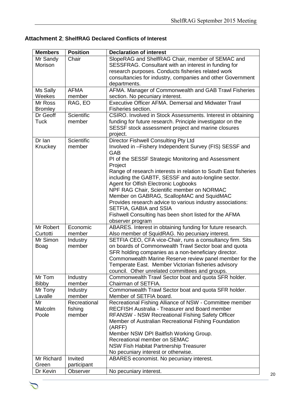## **Attachment 2**; **ShelfRAG Declared Conflicts of Interest**

| <b>Members</b>   | <b>Position</b>   | <b>Declaration of interest</b>                                                                                  |
|------------------|-------------------|-----------------------------------------------------------------------------------------------------------------|
| Mr Sandy         | Chair             | SlopeRAG and ShelfRAG Chair, member of SEMAC and                                                                |
| Morison          |                   | SESSFRAG. Consultant with an interest in funding for                                                            |
|                  |                   | research purposes. Conducts fisheries related work                                                              |
|                  |                   | consultancies for industry, companies and other Government                                                      |
|                  |                   | departments.                                                                                                    |
| Ms Sally         | <b>AFMA</b>       | AFMA. Manager of Commonwealth and GAB Trawl Fisheries                                                           |
| Weekes           | member            | section. No pecuniary interest.                                                                                 |
| Mr Ross          | RAG, EO           | <b>Executive Officer AFMA. Demersal and Midwater Trawl</b>                                                      |
| <b>Bromley</b>   |                   | Fisheries section.                                                                                              |
| Dr Geoff         | <b>Scientific</b> | CSIRO. Involved in Stock Assessments. Interest in obtaining                                                     |
| <b>Tuck</b>      | member            | funding for future research. Principle investigator on the                                                      |
|                  |                   | SESSF stock assessment project and marine closures                                                              |
|                  |                   | project.                                                                                                        |
| Dr Ian           | Scientific        | Director Fishwell Consulting Pty Ltd                                                                            |
| Knuckey          | member            | Involved in -Fishery Independent Survey (FIS) SESSF and                                                         |
|                  |                   | GAB                                                                                                             |
|                  |                   | PI of the SESSF Strategic Monitoring and Assessment                                                             |
|                  |                   | Project<br>Range of research interests in relation to South East fisheries                                      |
|                  |                   | including the GABTF, SESSF and auto-longline sector.                                                            |
|                  |                   | Agent for Olfish Electronic Logbooks                                                                            |
|                  |                   | NPF RAG Chair, Scientific member on NORMAC                                                                      |
|                  |                   | Member on GABRAG, ScallopMAC and SquidMAC                                                                       |
|                  |                   | Provides research advice to various industry associations:                                                      |
|                  |                   | SETFIA, GABIA and SSIA                                                                                          |
|                  |                   | Fishwell Consulting has been short listed for the AFMA                                                          |
|                  |                   | observer program                                                                                                |
| Mr Robert        | Economic          | ABARES. Interest in obtaining funding for future research.                                                      |
| Curtotti         | member            | Also member of SquidRAG. No pecuniary interest.                                                                 |
| Mr Simon         | Industry          | SETFIA CEO, CFA vice-Chair, runs a consultancy firm. Sits                                                       |
| Boag             | member            | on boards of Commonwealth Trawl Sector boat and quota                                                           |
|                  |                   | SFR holding companies as a non-beneficiary director.                                                            |
|                  |                   | Commonwealth Marine Reserve review panel member for the                                                         |
|                  |                   | Temperate East. Member Victorian fisheries advisory                                                             |
|                  |                   | council. Other unrelated committees and groups.                                                                 |
| Mr Tom           | Industry          | Commonwealth Trawl Sector boat and quota SFR holder.                                                            |
| <b>Bibby</b>     | member            | Chairman of SETFIA.                                                                                             |
| Mr Tony          | Industry          | Commonwealth Trawl Sector boat and quota SFR holder.                                                            |
| Lavalle          | member            | Member of SETFIA board.                                                                                         |
| Mr               | Recreational      | Recreational Fishing Alliance of NSW - Committee member                                                         |
| Malcolm<br>Poole | fishing<br>member | <b>RECFISH Australia - Treasurer and Board member</b>                                                           |
|                  |                   | <b>RFANSW - NSW Recreational Fishing Safety Officer</b><br>Member of Australian Recreational Fishing Foundation |
|                  |                   | (ARFF)                                                                                                          |
|                  |                   | Member NSW DPI Baitfish Working Group.                                                                          |
|                  |                   | Recreational member on SEMAC                                                                                    |
|                  |                   | NSW Fish Habitat Partnership Treasurer                                                                          |
|                  |                   | No pecuniary interest or otherwise.                                                                             |
| Mr Richard       | Invited           | ABARES economist. No pecuniary interest.                                                                        |
| Green            | participant       |                                                                                                                 |
| Dr Kevin         | Observer          | No pecuniary interest.                                                                                          |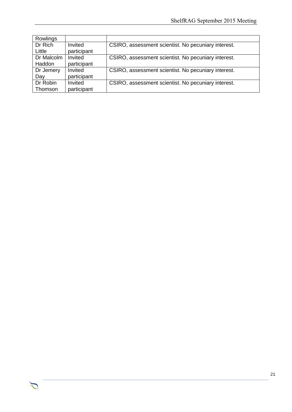| Rowlings   |             |                                                     |
|------------|-------------|-----------------------------------------------------|
| Dr Rich    | Invited     | CSIRO, assessment scientist. No pecuniary interest. |
| Little     | participant |                                                     |
| Dr Malcolm | Invited     | CSIRO, assessment scientist. No pecuniary interest. |
| Haddon     | participant |                                                     |
| Dr Jemery  | Invited     | CSIRO, assessment scientist. No pecuniary interest. |
| Day        | participant |                                                     |
| Dr Robin   | Invited     | CSIRO, assessment scientist. No pecuniary interest. |
| Thomson    | participant |                                                     |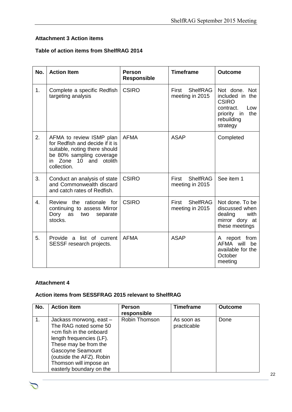## **Attachment 3 Action items**

#### **Table of action items from ShelfRAG 2014**

| No. | <b>Action Item</b>                                                                                                                                                   | <b>Person</b><br><b>Responsible</b> | <b>Timeframe</b>                                   | <b>Outcome</b>                                                                                                       |
|-----|----------------------------------------------------------------------------------------------------------------------------------------------------------------------|-------------------------------------|----------------------------------------------------|----------------------------------------------------------------------------------------------------------------------|
| 1.  | Complete a specific Redfish<br>targeting analysis                                                                                                                    | <b>CSIRO</b>                        | First<br><b>ShelfRAG</b><br>meeting in 2015        | Not done. Not<br>included in the<br><b>CSIRO</b><br>contract.<br>Low<br>priority in<br>the<br>rebuilding<br>strategy |
| 2.  | AFMA to review ISMP plan<br>for Redfish and decide if it is<br>suitable, noting there should<br>be 80% sampling coverage<br>Zone 10 and otolith<br>in<br>collection. | <b>AFMA</b>                         | <b>ASAP</b>                                        | Completed                                                                                                            |
| 3.  | Conduct an analysis of state<br>and Commonwealth discard<br>and catch rates of Redfish.                                                                              | <b>CSIRO</b>                        | <b>First</b><br><b>ShelfRAG</b><br>meeting in 2015 | See item 1                                                                                                           |
| 4.  | Review the rationale for<br>continuing to assess Mirror<br>Dory as<br>two<br>separate<br>stocks.                                                                     | <b>CSIRO</b>                        | <b>ShelfRAG</b><br>First<br>meeting in 2015        | Not done. To be<br>discussed when<br>dealing<br>with<br>mirror dory at<br>these meetings                             |
| 5.  | Provide a list of current<br>SESSF research projects.                                                                                                                | <b>AFMA</b>                         | <b>ASAP</b>                                        | A report from<br>AFMA will<br>be<br>available for the<br>October<br>meeting                                          |

## **Attachment 4**

#### **Action items from SESSFRAG 2015 relevant to ShelfRAG**

| No. | <b>Action item</b>                                                                                                                                                                                                                             | <b>Person</b><br>responsible | <b>Timeframe</b>          | <b>Outcome</b> |
|-----|------------------------------------------------------------------------------------------------------------------------------------------------------------------------------------------------------------------------------------------------|------------------------------|---------------------------|----------------|
| 1.  | Jackass morwong, east -<br>The RAG noted some 50<br>+cm fish in the onboard<br>length frequencies (LF).<br>These may be from the<br><b>Gascoyne Seamount</b><br>(outside the AFZ). Robin<br>Thomson will impose an<br>easterly boundary on the | Robin Thomson                | As soon as<br>practicable | Done           |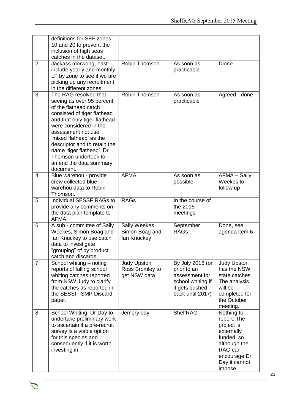|    | definitions for SEF zones<br>10 and 20 to prevent the<br>inclusion of high seas<br>catches in the dataset.                                                                                                                                                                                                                                        |                                                       |                                                                                                              |                                                                                                                                           |
|----|---------------------------------------------------------------------------------------------------------------------------------------------------------------------------------------------------------------------------------------------------------------------------------------------------------------------------------------------------|-------------------------------------------------------|--------------------------------------------------------------------------------------------------------------|-------------------------------------------------------------------------------------------------------------------------------------------|
| 2. | Jackass morwong, east -<br>include yearly and monthly<br>LF by zone to see if we are<br>picking up any recruitment<br>in the different zones.                                                                                                                                                                                                     | Robin Thomson                                         | As soon as<br>practicable                                                                                    | Dione                                                                                                                                     |
| 3. | The RAG resolved that<br>seeing as over 95 percent<br>of the flathead catch<br>consisted of tiger flathead<br>and that only tiger flathead<br>were considered in the<br>assessment not use<br>'mixed flathead' as the<br>descriptor and to retain the<br>name 'tiger flathead'. Dr<br>Thomson undertook to<br>amend the data summary<br>document. | Robin Thomson                                         | As soon as<br>practicable                                                                                    | Agreed - done                                                                                                                             |
| 4. | Blue warehou - provide<br>crew collected blue<br>warehou data to Robin<br>Thomson.                                                                                                                                                                                                                                                                | <b>AFMA</b>                                           | As soon as<br>possible                                                                                       | AFMA - Sally<br>Weekes to<br>follow up                                                                                                    |
| 5. | Individual SESSF RAGs to<br>provide any comments on<br>the data plan template to<br>AFMA.                                                                                                                                                                                                                                                         | <b>RAGs</b>                                           | In the course of<br>the 2015<br>meetings                                                                     |                                                                                                                                           |
| 6. | A sub - committee of Sally<br>Weekes, Simon Boag and<br>lan Knuckey to use catch<br>data to investigate<br>"grouping" of by product<br>catch and discards.                                                                                                                                                                                        | Sally Weekes,<br>Simon Boag and<br>lan Knuckey        | September<br><b>RAGs</b>                                                                                     | Done, see<br>agenda item 6                                                                                                                |
| 7. | School whiting - noting<br>reports of falling school<br>whiting catches reported<br>from NSW Judy to clarify<br>the catches as reported in<br>the SESSF ISMP Discard<br>paper.                                                                                                                                                                    | <b>Judy Upston</b><br>Ross Bromley to<br>get NSW data | By July 2016 (or<br>prior to an<br>assessment for<br>school whiting if<br>it gets pushed<br>back until 2017) | <b>Judy Upston</b><br>has the NSW<br>state catches.<br>The analysis<br>will be<br>completed for<br>the October<br>meeting.                |
| 8. | School Whiting. Dr Day to<br>undertake preliminary work<br>to ascertain if a pre-recruit<br>survey is a viable option<br>for this species and<br>consequently if it is worth<br>investing in.                                                                                                                                                     | Jemery day                                            | <b>ShelfRAG</b>                                                                                              | Nothing to<br>report. The<br>project is<br>externally<br>funded, so<br>although the<br>RAG can<br>encourage Dr<br>Day it cannot<br>impose |

Chair Rob Lewis c/- Executive Officer Tony Kingston, 155 Faulkland Rd, Gloucester NSW 2422

 $\sum$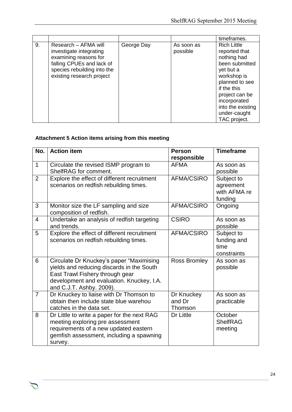|    |                                                                                                                                                                   |            |                        | timeframes.                                                                                                                                                                                                              |
|----|-------------------------------------------------------------------------------------------------------------------------------------------------------------------|------------|------------------------|--------------------------------------------------------------------------------------------------------------------------------------------------------------------------------------------------------------------------|
| 9. | Research – AFMA will<br>investigate integrating<br>examining reasons for<br>falling CPUEs and lack of<br>species rebuilding into the<br>existing research project | George Day | As soon as<br>possible | <b>Rich Little</b><br>reported that<br>nothing had<br>been submitted<br>yet but a<br>workshop is<br>planned to see<br>if the this<br>project can be<br>incorporated<br>into the existing<br>under-caught<br>TAC project. |

# **Attachment 5 Action items arising from this meeting**

| No.            | <b>Action item</b>                                                                                                                                                                                | <b>Person</b><br>responsible    | <b>Timeframe</b>                                   |
|----------------|---------------------------------------------------------------------------------------------------------------------------------------------------------------------------------------------------|---------------------------------|----------------------------------------------------|
| $\mathbf{1}$   | Circulate the revised ISMP program to<br>ShelfRAG for comment.                                                                                                                                    | <b>AFMA</b>                     | As soon as<br>possible                             |
| $\overline{2}$ | Explore the effect of different recruitment<br>scenarios on redfish rebuilding times.                                                                                                             | <b>AFMA/CSIRO</b>               | Subject to<br>agreement<br>with AFMA re<br>funding |
| 3              | Monitor size the LF sampling and size<br>composition of redfish.                                                                                                                                  | AFMA/CSIRO                      | Ongoing                                            |
| 4              | Undertake an analysis of redfish targeting<br>and trends.                                                                                                                                         | <b>CSIRO</b>                    | As soon as<br>possible                             |
| 5              | Explore the effect of different recruitment<br>scenarios on redfish rebuilding times.                                                                                                             | AFMA/CSIRO                      | Subject to<br>funding and<br>time<br>constraints   |
| 6              | Circulate Dr Knuckey's paper "Maximising<br>yields and reducing discards in the South<br>East Trawl Fishery through gear<br>development and evaluation. Knuckey, I.A.<br>and C.J.T. Ashby. 2009). | <b>Ross Bromley</b>             | As soon as<br>possible                             |
| $\overline{7}$ | Dr Knuckey to liaise with Dr Thomson to<br>obtain then include state blue warehou<br>catches in the data set.                                                                                     | Dr Knuckey<br>and Dr<br>Thomson | As soon as<br>practicable                          |
| 8              | Dr Little to write a paper for the next RAG<br>meeting exploring pre assessment<br>requirements of a new updated eastern<br>gemfish assessment, including a spawning<br>survey.                   | Dr Little                       | October<br><b>ShelfRAG</b><br>meeting              |